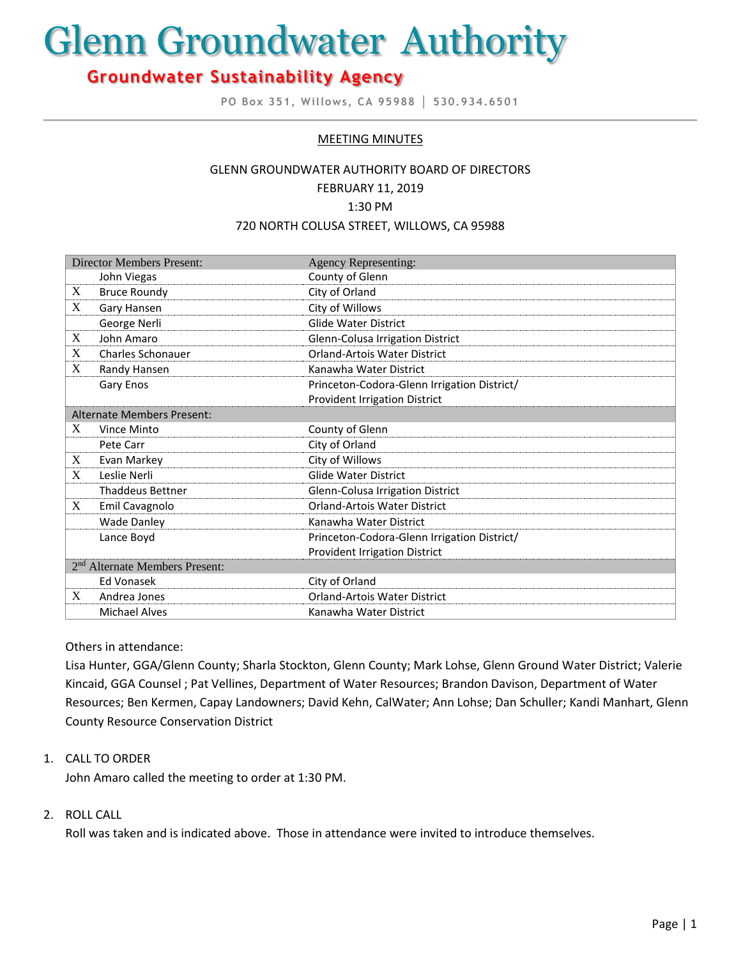# Glenn Groundwater Authority

# **Groundwater Sustainability Agency**

**PO Box 351, Willows, CA 95988 │ 530.934.6501**

#### MEETING MINUTES

#### GLENN GROUNDWATER AUTHORITY BOARD OF DIRECTORS

FEBRUARY 11, 2019

#### 1:30 PM

#### 720 NORTH COLUSA STREET, WILLOWS, CA 95988

| <b>Director Members Present:</b>           |                          | <b>Agency Representing:</b>                 |
|--------------------------------------------|--------------------------|---------------------------------------------|
|                                            | John Viegas              | County of Glenn                             |
| X                                          | <b>Bruce Roundy</b>      | City of Orland                              |
| X                                          | Gary Hansen              | City of Willows                             |
|                                            | George Nerli             | <b>Glide Water District</b>                 |
| X                                          | John Amaro               | Glenn-Colusa Irrigation District            |
| X                                          | <b>Charles Schonauer</b> | <b>Orland-Artois Water District</b>         |
| X                                          | Randy Hansen             | Kanawha Water District                      |
|                                            | Gary Enos                | Princeton-Codora-Glenn Irrigation District/ |
|                                            |                          | <b>Provident Irrigation District</b>        |
| <b>Alternate Members Present:</b>          |                          |                                             |
| X                                          | Vince Minto              | County of Glenn                             |
|                                            | Pete Carr                | City of Orland                              |
| X                                          | Evan Markey              | City of Willows                             |
| X                                          | Leslie Nerli             | <b>Glide Water District</b>                 |
|                                            | <b>Thaddeus Bettner</b>  | Glenn-Colusa Irrigation District            |
| X                                          | Emil Cavagnolo           | <b>Orland-Artois Water District</b>         |
|                                            | <b>Wade Danley</b>       | Kanawha Water District                      |
|                                            | Lance Boyd               | Princeton-Codora-Glenn Irrigation District/ |
|                                            |                          | <b>Provident Irrigation District</b>        |
| 2 <sup>nd</sup> Alternate Members Present: |                          |                                             |
|                                            | <b>Ed Vonasek</b>        | City of Orland                              |
| X                                          | Andrea Jones             | <b>Orland-Artois Water District</b>         |
|                                            | <b>Michael Alves</b>     | Kanawha Water District                      |

Others in attendance:

Lisa Hunter, GGA/Glenn County; Sharla Stockton, Glenn County; Mark Lohse, Glenn Ground Water District; Valerie Kincaid, GGA Counsel ; Pat Vellines, Department of Water Resources; Brandon Davison, Department of Water Resources; Ben Kermen, Capay Landowners; David Kehn, CalWater; Ann Lohse; Dan Schuller; Kandi Manhart, Glenn County Resource Conservation District

#### 1. CALL TO ORDER

John Amaro called the meeting to order at 1:30 PM.

#### 2. ROLL CALL

Roll was taken and is indicated above. Those in attendance were invited to introduce themselves.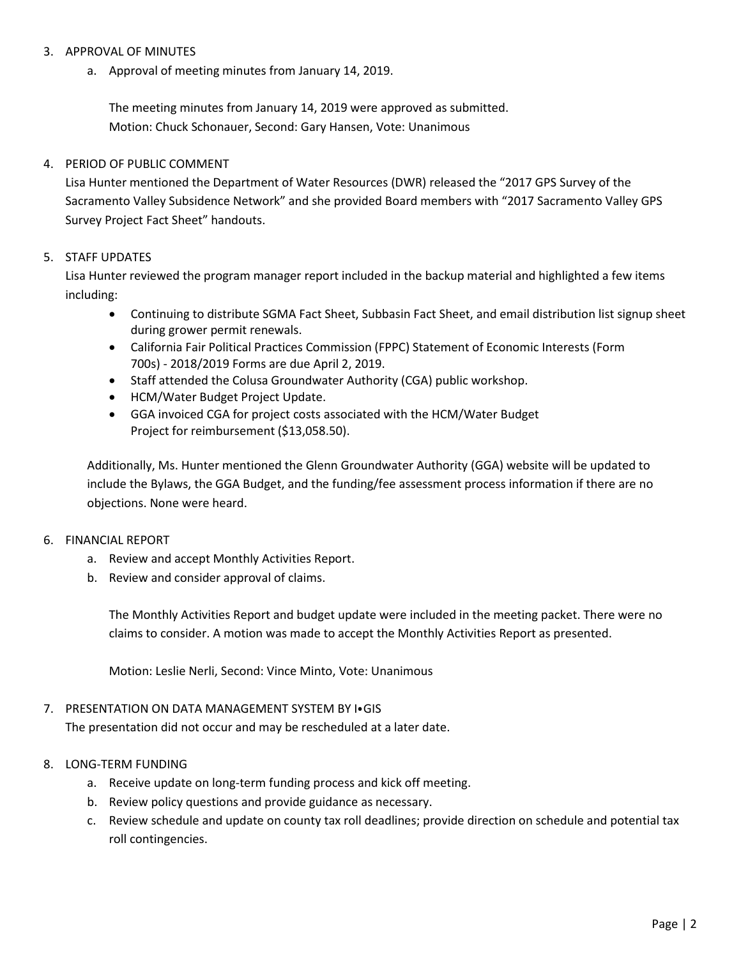#### 3. APPROVAL OF MINUTES

a. Approval of meeting minutes from January 14, 2019.

The meeting minutes from January 14, 2019 were approved as submitted. Motion: Chuck Schonauer, Second: Gary Hansen, Vote: Unanimous

### 4. PERIOD OF PUBLIC COMMENT

Lisa Hunter mentioned the Department of Water Resources (DWR) released the "2017 GPS Survey of the Sacramento Valley Subsidence Network" and she provided Board members with "2017 Sacramento Valley GPS Survey Project Fact Sheet" handouts.

## 5. STAFF UPDATES

Lisa Hunter reviewed the program manager report included in the backup material and highlighted a few items including:

- Continuing to distribute SGMA Fact Sheet, Subbasin Fact Sheet, and email distribution list signup sheet during grower permit renewals.
- California Fair Political Practices Commission (FPPC) Statement of Economic Interests (Form 700s) - 2018/2019 Forms are due April 2, 2019.
- Staff attended the Colusa Groundwater Authority (CGA) public workshop.
- HCM/Water Budget Project Update.
- GGA invoiced CGA for project costs associated with the HCM/Water Budget Project for reimbursement (\$13,058.50).

Additionally, Ms. Hunter mentioned the Glenn Groundwater Authority (GGA) website will be updated to include the Bylaws, the GGA Budget, and the funding/fee assessment process information if there are no objections. None were heard.

#### 6. FINANCIAL REPORT

- a. Review and accept Monthly Activities Report.
- b. Review and consider approval of claims.

The Monthly Activities Report and budget update were included in the meeting packet. There were no claims to consider. A motion was made to accept the Monthly Activities Report as presented.

Motion: Leslie Nerli, Second: Vince Minto, Vote: Unanimous

#### 7. PRESENTATION ON DATA MANAGEMENT SYSTEM BY I⦁GIS

The presentation did not occur and may be rescheduled at a later date.

#### 8. LONG-TERM FUNDING

- a. Receive update on long-term funding process and kick off meeting.
- b. Review policy questions and provide guidance as necessary.
- c. Review schedule and update on county tax roll deadlines; provide direction on schedule and potential tax roll contingencies.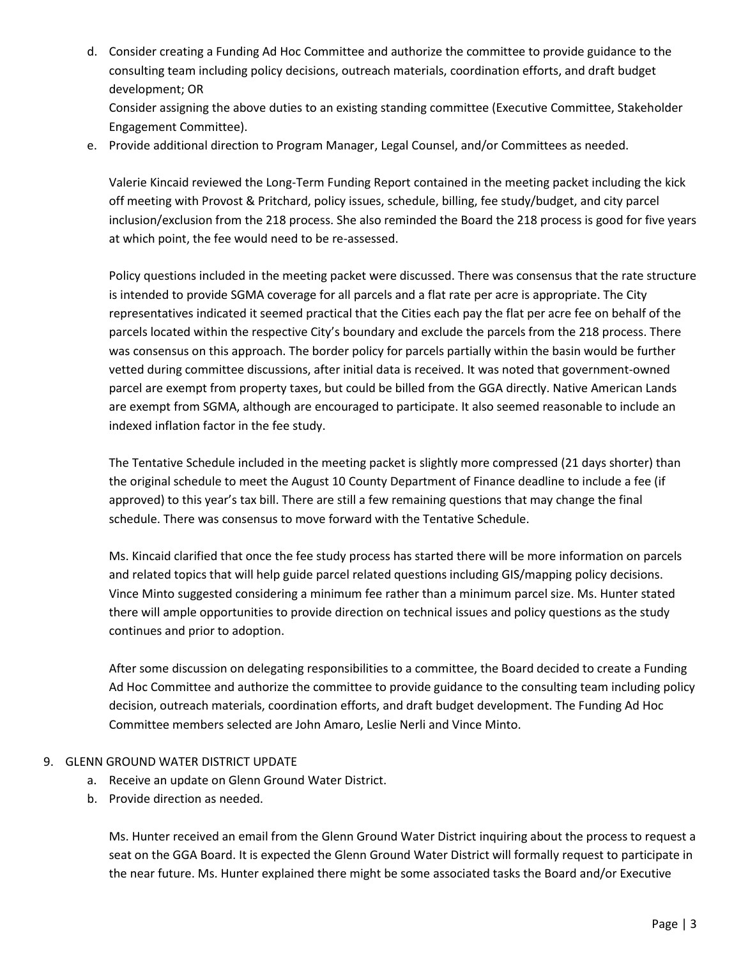d. Consider creating a Funding Ad Hoc Committee and authorize the committee to provide guidance to the consulting team including policy decisions, outreach materials, coordination efforts, and draft budget development; OR Consider assigning the above duties to an existing standing committee (Executive Committee, Stakeholder

e. Provide additional direction to Program Manager, Legal Counsel, and/or Committees as needed.

Valerie Kincaid reviewed the Long-Term Funding Report contained in the meeting packet including the kick off meeting with Provost & Pritchard, policy issues, schedule, billing, fee study/budget, and city parcel inclusion/exclusion from the 218 process. She also reminded the Board the 218 process is good for five years at which point, the fee would need to be re-assessed.

Policy questions included in the meeting packet were discussed. There was consensus that the rate structure is intended to provide SGMA coverage for all parcels and a flat rate per acre is appropriate. The City representatives indicated it seemed practical that the Cities each pay the flat per acre fee on behalf of the parcels located within the respective City's boundary and exclude the parcels from the 218 process. There was consensus on this approach. The border policy for parcels partially within the basin would be further vetted during committee discussions, after initial data is received. It was noted that government-owned parcel are exempt from property taxes, but could be billed from the GGA directly. Native American Lands are exempt from SGMA, although are encouraged to participate. It also seemed reasonable to include an indexed inflation factor in the fee study.

The Tentative Schedule included in the meeting packet is slightly more compressed (21 days shorter) than the original schedule to meet the August 10 County Department of Finance deadline to include a fee (if approved) to this year's tax bill. There are still a few remaining questions that may change the final schedule. There was consensus to move forward with the Tentative Schedule.

Ms. Kincaid clarified that once the fee study process has started there will be more information on parcels and related topics that will help guide parcel related questions including GIS/mapping policy decisions. Vince Minto suggested considering a minimum fee rather than a minimum parcel size. Ms. Hunter stated there will ample opportunities to provide direction on technical issues and policy questions as the study continues and prior to adoption.

After some discussion on delegating responsibilities to a committee, the Board decided to create a Funding Ad Hoc Committee and authorize the committee to provide guidance to the consulting team including policy decision, outreach materials, coordination efforts, and draft budget development. The Funding Ad Hoc Committee members selected are John Amaro, Leslie Nerli and Vince Minto.

#### 9. GLENN GROUND WATER DISTRICT UPDATE

Engagement Committee).

- a. Receive an update on Glenn Ground Water District.
- b. Provide direction as needed.

Ms. Hunter received an email from the Glenn Ground Water District inquiring about the process to request a seat on the GGA Board. It is expected the Glenn Ground Water District will formally request to participate in the near future. Ms. Hunter explained there might be some associated tasks the Board and/or Executive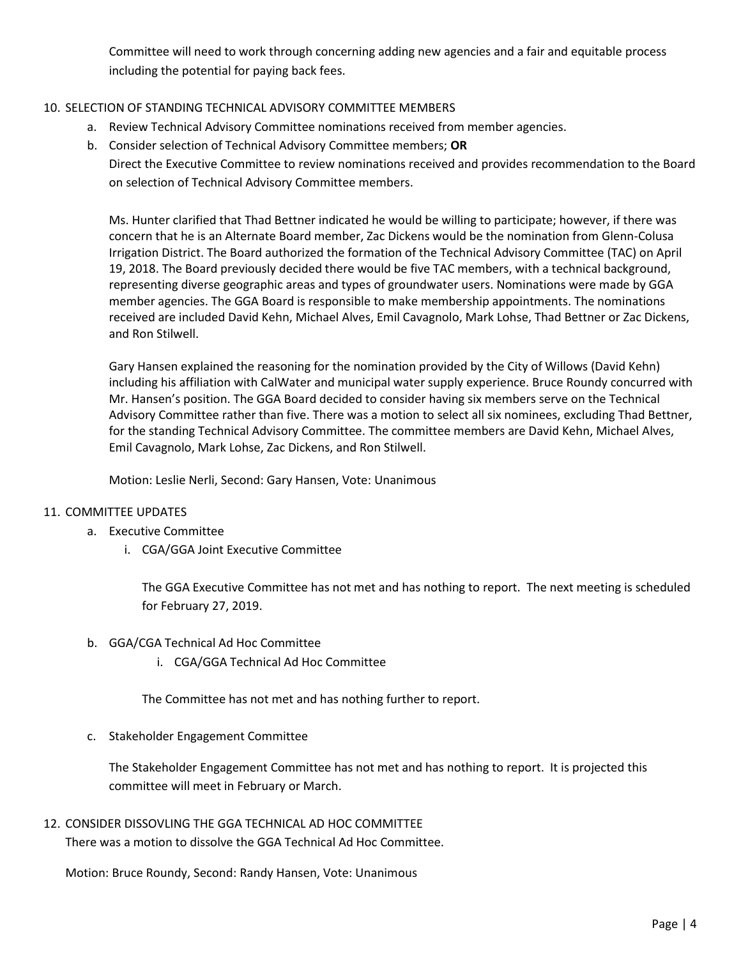Committee will need to work through concerning adding new agencies and a fair and equitable process including the potential for paying back fees.

# 10. SELECTION OF STANDING TECHNICAL ADVISORY COMMITTEE MEMBERS

- a. Review Technical Advisory Committee nominations received from member agencies.
- b. Consider selection of Technical Advisory Committee members; **OR** Direct the Executive Committee to review nominations received and provides recommendation to the Board on selection of Technical Advisory Committee members.

Ms. Hunter clarified that Thad Bettner indicated he would be willing to participate; however, if there was concern that he is an Alternate Board member, Zac Dickens would be the nomination from Glenn-Colusa Irrigation District. The Board authorized the formation of the Technical Advisory Committee (TAC) on April 19, 2018. The Board previously decided there would be five TAC members, with a technical background, representing diverse geographic areas and types of groundwater users. Nominations were made by GGA member agencies. The GGA Board is responsible to make membership appointments. The nominations received are included David Kehn, Michael Alves, Emil Cavagnolo, Mark Lohse, Thad Bettner or Zac Dickens, and Ron Stilwell.

Gary Hansen explained the reasoning for the nomination provided by the City of Willows (David Kehn) including his affiliation with CalWater and municipal water supply experience. Bruce Roundy concurred with Mr. Hansen's position. The GGA Board decided to consider having six members serve on the Technical Advisory Committee rather than five. There was a motion to select all six nominees, excluding Thad Bettner, for the standing Technical Advisory Committee. The committee members are David Kehn, Michael Alves, Emil Cavagnolo, Mark Lohse, Zac Dickens, and Ron Stilwell.

Motion: Leslie Nerli, Second: Gary Hansen, Vote: Unanimous

#### 11. COMMITTEE UPDATES

- a. Executive Committee
	- i. CGA/GGA Joint Executive Committee

The GGA Executive Committee has not met and has nothing to report. The next meeting is scheduled for February 27, 2019.

#### b. GGA/CGA Technical Ad Hoc Committee

i. CGA/GGA Technical Ad Hoc Committee

The Committee has not met and has nothing further to report.

c. Stakeholder Engagement Committee

The Stakeholder Engagement Committee has not met and has nothing to report. It is projected this committee will meet in February or March.

12. CONSIDER DISSOVLING THE GGA TECHNICAL AD HOC COMMITTEE There was a motion to dissolve the GGA Technical Ad Hoc Committee.

Motion: Bruce Roundy, Second: Randy Hansen, Vote: Unanimous